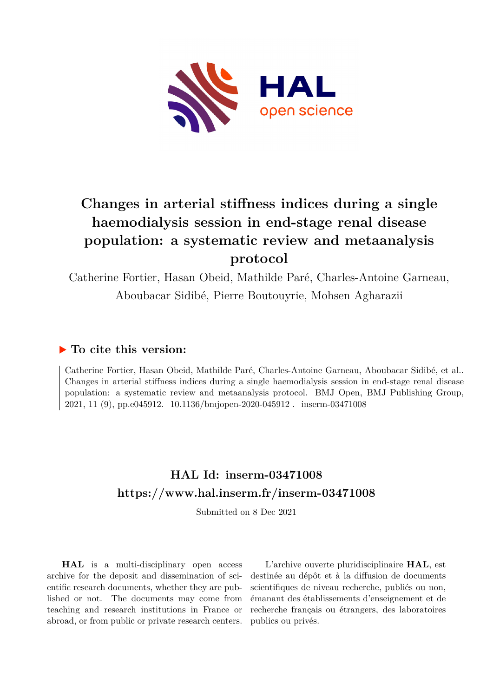

# **Changes in arterial stiffness indices during a single haemodialysis session in end-stage renal disease population: a systematic review and metaanalysis protocol**

Catherine Fortier, Hasan Obeid, Mathilde Paré, Charles-Antoine Garneau, Aboubacar Sidibé, Pierre Boutouyrie, Mohsen Agharazii

# **To cite this version:**

Catherine Fortier, Hasan Obeid, Mathilde Paré, Charles-Antoine Garneau, Aboubacar Sidibé, et al.. Changes in arterial stiffness indices during a single haemodialysis session in end-stage renal disease population: a systematic review and metaanalysis protocol. BMJ Open, BMJ Publishing Group, 2021, 11 (9), pp.e045912. 10.1136/bmjopen-2020-045912. inserm-03471008

# **HAL Id: inserm-03471008 <https://www.hal.inserm.fr/inserm-03471008>**

Submitted on 8 Dec 2021

**HAL** is a multi-disciplinary open access archive for the deposit and dissemination of scientific research documents, whether they are published or not. The documents may come from teaching and research institutions in France or abroad, or from public or private research centers.

L'archive ouverte pluridisciplinaire **HAL**, est destinée au dépôt et à la diffusion de documents scientifiques de niveau recherche, publiés ou non, émanant des établissements d'enseignement et de recherche français ou étrangers, des laboratoires publics ou privés.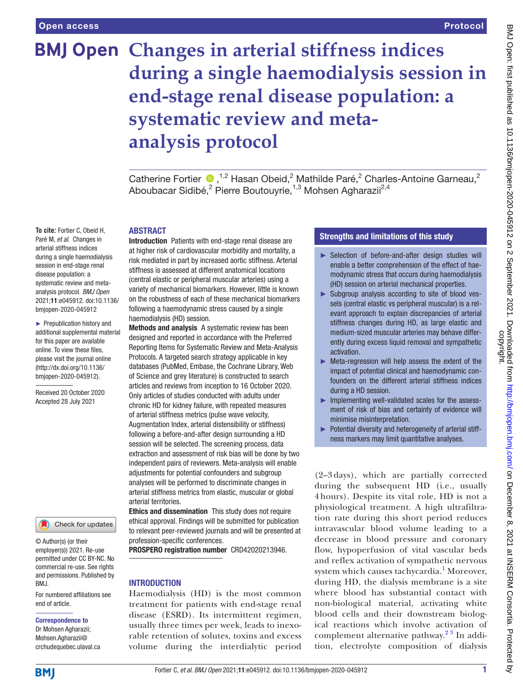# **BMJ Open Changes in arterial stiffness indices during a single haemodialysis session in end-stage renal disease population: a systematic review and metaanalysis protocol**

CatherineFortier  $\bullet$ , <sup>1,2</sup> Hasan Obeid,<sup>2</sup> Mathilde Paré,<sup>2</sup> Charles-Antoine Garneau,<sup>2</sup> Aboubacar Sidibé,<sup>2</sup> Pierre Boutouyrie,<sup>1,3</sup> Mohsen Agharazii<sup>2,4</sup>

#### ABSTRACT

**To cite:** Fortier C, Obeid H, Paré M, *et al*. Changes in arterial stiffness indices during a single haemodialysis session in end-stage renal disease population: a systematic review and metaanalysis protocol. *BMJ Open* 2021;11:e045912. doi:10.1136/ bmjopen-2020-045912

► Prepublication history and additional supplemental material for this paper are available online. To view these files, please visit the journal online (http://dx.doi.org/10.1136/ bmjopen-2020-045912).

Received 20 October 2020 Accepted 28 July 2021



© Author(s) (or their employer(s)) 2021. Re-use permitted under CC BY-NC. No commercial re-use. See rights and permissions. Published by BMJ.

For numbered affiliations see end of article.

#### Correspondence to

Dr Mohsen Agharazii; Mohsen.Agharazii@ crchudequebec.ulaval.ca Introduction Patients with end-stage renal disease are at higher risk of cardiovascular morbidity and mortality, a risk mediated in part by increased aortic stiffness. Arterial stiffness is assessed at different anatomical locations (central elastic or peripheral muscular arteries) using a variety of mechanical biomarkers. However, little is known on the robustness of each of these mechanical biomarkers following a haemodynamic stress caused by a single haemodialysis (HD) session.

Methods and analysis A systematic review has been designed and reported in accordance with the Preferred Reporting Items for Systematic Review and Meta-Analysis Protocols. A targeted search strategy applicable in key databases (PubMed, Embase, the Cochrane Library, Web of Science and grey literature) is constructed to search articles and reviews from inception to 16 October 2020. Only articles of studies conducted with adults under chronic HD for kidney failure, with repeated measures of arterial stiffness metrics (pulse wave velocity, Augmentation Index, arterial distensibility or stiffness) following a before-and-after design surrounding a HD session will be selected. The screening process, data extraction and assessment of risk bias will be done by two independent pairs of reviewers. Meta-analysis will enable adjustments for potential confounders and subgroup analyses will be performed to discriminate changes in arterial stiffness metrics from elastic, muscular or global arterial territories.

**Ethics and dissemination** This study does not require ethical approval. Findings will be submitted for publication to relevant peer-reviewed journals and will be presented at profession-specific conferences.

PROSPERO registration number CRD42020213946.

#### INTRODUCTION

Haemodialysis (HD) is the most common treatment for patients with end-stage renal disease (ESRD). Its intermittent regimen, usually three times per week, leads to inexorable retention of solutes, toxins and excess volume during the interdialytic period

## Strengths and limitations of this study

- ► Selection of before-and-after design studies will enable a better comprehension of the effect of haemodynamic stress that occurs during haemodialysis (HD) session on arterial mechanical properties.
- ► Subgroup analysis according to site of blood vessels (central elastic vs peripheral muscular) is a relevant approach to explain discrepancies of arterial stiffness changes during HD, as large elastic and medium-sized muscular arteries may behave differently during excess liquid removal and sympathetic activation.
- ► Meta-regression will help assess the extent of the impact of potential clinical and haemodynamic confounders on the different arterial stiffness indices during a HD session.
- ► Implementing well-validated scales for the assessment of risk of bias and certainty of evidence will minimise misinterpretation.
- ► Potential diversity and heterogeneity of arterial stiffness markers may limit quantitative analyses.

(2–3 days), which are partially corrected during the subsequent HD (i.e., usually 4 hours). Despite its vital role, HD is not a physiological treatment. A high ultrafiltration rate during this short period reduces intravascular blood volume leading to a decrease in blood pressure and coronary flow, hypoperfusion of vital vascular beds and reflex activation of sympathetic nervous system which causes tachycardia.<sup>1</sup> Moreover, during HD, the dialysis membrane is a site where blood has substantial contact with non-biological material, activating white blood cells and their downstream biological reactions which involve activation of complement alternative pathway.<sup>23</sup> In addition, electrolyte composition of dialysis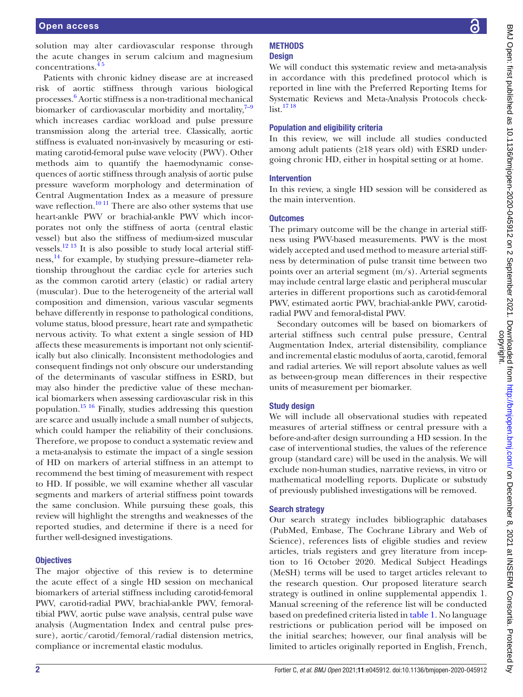solution may alter cardiovascular response through the acute changes in serum calcium and magnesium concentrations.<sup>4</sup>

Patients with chronic kidney disease are at increased risk of aortic stiffness through various biological processes. 6 Aortic stiffness is a non-traditional mechanical biomarker of cardiovascular morbidity and mortality, $7-9$ which increases cardiac workload and pulse pressure transmission along the arterial tree. Classically, aortic stiffness is evaluated non-invasively by measuring or estimating carotid-femoral pulse wave velocity (PWV). Other methods aim to quantify the haemodynamic consequences of aortic stiffness through analysis of aortic pulse pressure waveform morphology and determination of Central Augmentation Index as a measure of pressure wave reflection.<sup>10 11</sup> There are also other systems that use heart-ankle PWV or brachial-ankle PWV which incorporates not only the stiffness of aorta (central elastic vessel) but also the stiffness of medium-sized muscular vessels. $^{12}$ <sup>13</sup> It is also possible to study local arterial stiffness,<sup>14</sup> for example, by studying pressure–diameter relationship throughout the cardiac cycle for arteries such as the common carotid artery (elastic) or radial artery (muscular). Due to the heterogeneity of the arterial wall composition and dimension, various vascular segments behave differently in response to pathological conditions, volume status, blood pressure, heart rate and sympathetic nervous activity. To what extent a single session of HD affects these measurements is important not only scientifically but also clinically. Inconsistent methodologies and consequent findings not only obscure our understanding of the determinants of vascular stiffness in ESRD, but may also hinder the predictive value of these mechanical biomarkers when assessing cardiovascular risk in this population.15 16 Finally, studies addressing this question are scarce and usually include a small number of subjects, which could hamper the reliability of their conclusions. Therefore, we propose to conduct a systematic review and a meta-analysis to estimate the impact of a single session of HD on markers of arterial stiffness in an attempt to recommend the best timing of measurement with respect to HD. If possible, we will examine whether all vascular segments and markers of arterial stiffness point towards the same conclusion. While pursuing these goals, this review will highlight the strengths and weaknesses of the reported studies, and determine if there is a need for further well-designed investigations.

#### **Objectives**

The major objective of this review is to determine the acute effect of a single HD session on mechanical biomarkers of arterial stiffness including carotid-femoral PWV, carotid-radial PWV, brachial-ankle PWV, femoraltibial PWV, aortic pulse wave analysis, central pulse wave analysis (Augmentation Index and central pulse pressure), aortic/carotid/femoral/radial distension metrics, compliance or incremental elastic modulus.

## **METHODS Design**

We will conduct this systematic review and meta-analysis in accordance with this predefined protocol which is reported in line with the Preferred Reporting Items for Systematic Reviews and Meta-Analysis Protocols check $list.$ <sup>17 18</sup>

#### Population and eligibility criteria

In this review, we will include all studies conducted among adult patients (≥18 years old) with ESRD undergoing chronic HD, either in hospital setting or at home.

#### Intervention

In this review, a single HD session will be considered as the main intervention.

## **Outcomes**

The primary outcome will be the change in arterial stiffness using PWV-based measurements. PWV is the most widely accepted and used method to measure arterial stiffness by determination of pulse transit time between two points over an arterial segment (m/s). Arterial segments may include central large elastic and peripheral muscular arteries in different proportions such as carotid-femoral PWV, estimated aortic PWV, brachial-ankle PWV, carotidradial PWV and femoral-distal PWV.

Secondary outcomes will be based on biomarkers of arterial stiffness such central pulse pressure, Central Augmentation Index, arterial distensibility, compliance and incremental elastic modulus of aorta, carotid, femoral and radial arteries. We will report absolute values as well as between-group mean differences in their respective units of measurement per biomarker.

## Study design

We will include all observational studies with repeated measures of arterial stiffness or central pressure with a before-and-after design surrounding a HD session. In the case of interventional studies, the values of the reference group (standard care) will be used in the analysis. We will exclude non-human studies, narrative reviews, in vitro or mathematical modelling reports. Duplicate or substudy of previously published investigations will be removed.

## Search strategy

Our search strategy includes bibliographic databases (PubMed, Embase, The Cochrane Library and Web of Science), references lists of eligible studies and review articles, trials registers and grey literature from inception to 16 October 2020. Medical Subject Headings (MeSH) terms will be used to target articles relevant to the research question. Our proposed literature search strategy is outlined in [online supplemental appendix 1](https://dx.doi.org/10.1136/bmjopen-2020-045912). Manual screening of the reference list will be conducted based on predefined criteria listed in table 1. No language restrictions or publication period will be imposed on the initial searches; however, our final analysis will be limited to articles originally reported in English, French,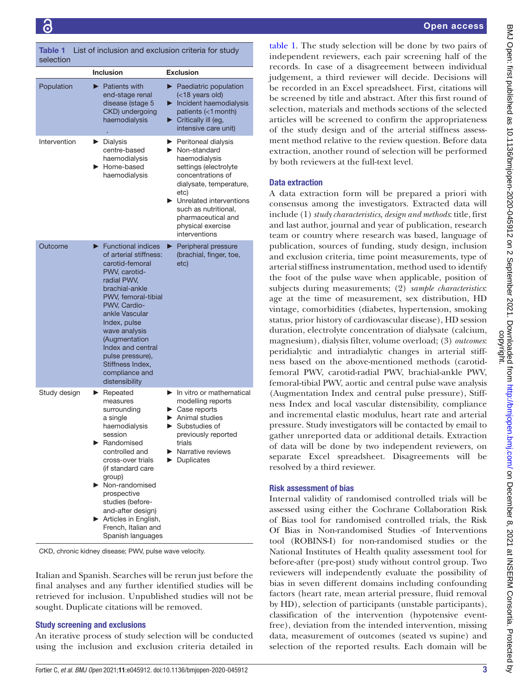Table 1 List of inclusion and exclusion criteria for study selection

|              | <b>Inclusion</b>                                                                                                                                                                                                                                                                                                                                          | <b>Exclusion</b>                                                                                                                                                                                                                                                                                                       |
|--------------|-----------------------------------------------------------------------------------------------------------------------------------------------------------------------------------------------------------------------------------------------------------------------------------------------------------------------------------------------------------|------------------------------------------------------------------------------------------------------------------------------------------------------------------------------------------------------------------------------------------------------------------------------------------------------------------------|
| Population   | <b>Patients with</b><br>end-stage renal<br>disease (stage 5<br>CKD) undergoing<br>haemodialysis                                                                                                                                                                                                                                                           | $\blacktriangleright$ Paediatric population<br>(<18 years old)<br>$\blacktriangleright$ Incident haemodialysis<br>patients (<1 month)<br>$\blacktriangleright$ Critically ill (eg,<br>intensive care unit)                                                                                                             |
| Intervention | Dialysis<br>centre-based<br>haemodialysis<br>Home-based<br>haemodialysis                                                                                                                                                                                                                                                                                  | $\blacktriangleright$ Peritoneal dialysis<br>$\blacktriangleright$ Non-standard<br>haemodialysis<br>settings (electrolyte<br>concentrations of<br>dialysate, temperature,<br>etc)<br>$\blacktriangleright$ Unrelated interventions<br>such as nutritional,<br>pharmaceutical and<br>physical exercise<br>interventions |
| Outcome      | $\blacktriangleright$ Functional indices<br>of arterial stiffness:<br>carotid-femoral<br>PWV, carotid-<br>radial PWV,<br>brachial-ankle<br>PWV, femoral-tibial<br>PWV, Cardio-<br>ankle Vascular<br>Index, pulse<br>wave analysis<br>(Augmentation<br>Index and central<br>pulse pressure),<br>Stiffness Index,<br>compliance and<br>distensibility       | Peripheral pressure<br>▶<br>(brachial, finger, toe,<br>etc)                                                                                                                                                                                                                                                            |
| Study design | $\blacktriangleright$ Repeated<br>measures<br>surrounding<br>a single<br>haemodialysis<br>session<br>Randomised<br>controlled and<br>cross-over trials<br>(if standard care<br>group)<br>Non-randomised<br>prospective<br>studies (before-<br>and-after design)<br>$\blacktriangleright$ Articles in English,<br>French, Italian and<br>Spanish languages | In vitro or mathematical<br>▶.<br>modelling reports<br>$\blacktriangleright$ Case reports<br>$\blacktriangleright$ Animal studies<br>Substudies of<br>previously reported<br>trials<br>$\blacktriangleright$ Narrative reviews<br>Duplicates                                                                           |

CKD, chronic kidney disease; PWV, pulse wave velocity.

Italian and Spanish. Searches will be rerun just before the final analyses and any further identified studies will be retrieved for inclusion. Unpublished studies will not be sought. Duplicate citations will be removed.

#### Study screening and exclusions

An iterative process of study selection will be conducted using the inclusion and exclusion criteria detailed in

BMJ Open: first published as 10.1136/bmjopen-2020-045912 on 2 September 2021. Downloaded from http://bmjopen.bmj.com/ on December 8, 2021 at INSERM Consortia. Protected I<br>copyright. BMJ Open: first published as 10.1136/bmjopen-2020-045912 on 2 September 2021. Downloaded from <http://bmjopen.bmj.com/> on December 8, 2021 at INSERM Consortia. Protected by ਼ੁ

table 1. The study selection will be done by two pairs of independent reviewers, each pair screening half of the records. In case of a disagreement between individual judgement, a third reviewer will decide. Decisions will be recorded in an Excel spreadsheet. First, citations will be screened by title and abstract. After this first round of selection, materials and methods sections of the selected articles will be screened to confirm the appropriateness of the study design and of the arterial stiffness assessment method relative to the review question. Before data extraction, another round of selection will be performed by both reviewers at the full-text level.

#### Data extraction

A data extraction form will be prepared a priori with consensus among the investigators. Extracted data will include (1) *study characteristics, design and methods*: title, first and last author, journal and year of publication, research team or country where research was based, language of publication, sources of funding, study design, inclusion and exclusion criteria, time point measurements, type of arterial stiffness instrumentation, method used to identify the foot of the pulse wave when applicable, position of subjects during measurements; (2) *sample characteristics*: age at the time of measurement, sex distribution, HD vintage, comorbidities (diabetes, hypertension, smoking status, prior history of cardiovascular disease), HD session duration, electrolyte concentration of dialysate (calcium, magnesium), dialysis filter, volume overload; (3) *outcomes*: peridialytic and intradialytic changes in arterial stiffness based on the above-mentioned methods (carotidfemoral PWV, carotid-radial PWV, brachial-ankle PWV, femoral-tibial PWV, aortic and central pulse wave analysis (Augmentation Index and central pulse pressure), Stiffness Index and local vascular distensibility, compliance and incremental elastic modulus, heart rate and arterial pressure. Study investigators will be contacted by email to gather unreported data or additional details. Extraction of data will be done by two independent reviewers, on separate Excel spreadsheet. Disagreements will be resolved by a third reviewer.

#### Risk assessment of bias

Internal validity of randomised controlled trials will be assessed using either the Cochrane Collaboration Risk of Bias tool for randomised controlled trials, the Risk Of Bias in Non-randomised Studies -of Interventions tool (ROBINS-I) for non-randomised studies or the National Institutes of Health quality assessment tool for before-after (pre-post) study without control group. Two reviewers will independently evaluate the possibility of bias in seven different domains including confounding factors (heart rate, mean arterial pressure, fluid removal by HD), selection of participants (unstable participants), classification of the intervention (hypotensive eventfree), deviation from the intended intervention, missing data, measurement of outcomes (seated vs supine) and selection of the reported results. Each domain will be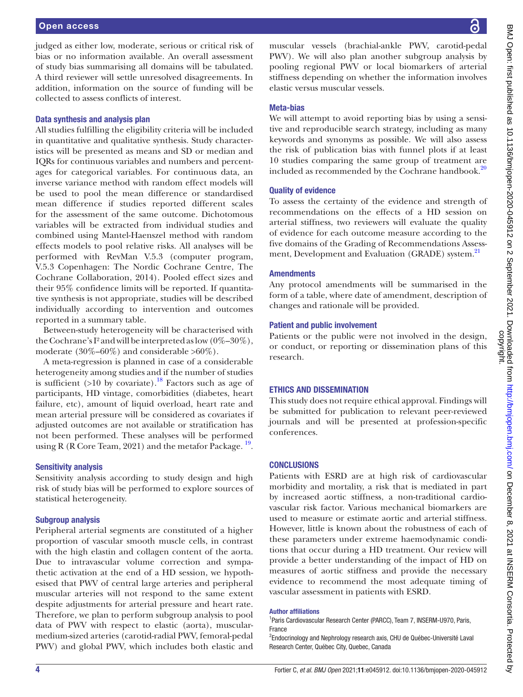judged as either low, moderate, serious or critical risk of bias or no information available. An overall assessment of study bias summarising all domains will be tabulated. A third reviewer will settle unresolved disagreements. In addition, information on the source of funding will be collected to assess conflicts of interest.

#### Data synthesis and analysis plan

All studies fulfilling the eligibility criteria will be included in quantitative and qualitative synthesis. Study characteristics will be presented as means and SD or median and IQRs for continuous variables and numbers and percentages for categorical variables. For continuous data, an inverse variance method with random effect models will be used to pool the mean difference or standardised mean difference if studies reported different scales for the assessment of the same outcome. Dichotomous variables will be extracted from individual studies and combined using Mantel-Haenszel method with random effects models to pool relative risks. All analyses will be performed with RevMan V.5.3 (computer program, V.5.3 Copenhagen: The Nordic Cochrane Centre, The Cochrane Collaboration, 2014). Pooled effect sizes and their 95% confidence limits will be reported. If quantitative synthesis is not appropriate, studies will be described individually according to intervention and outcomes reported in a summary table.

Between-study heterogeneity will be characterised with the Cochrane's I<sup>2</sup> and will be interpreted as low  $(0\%-30\%)$ , moderate (30%–60%) and considerable >60%).

A meta-regression is planned in case of a considerable heterogeneity among studies and if the number of studies is sufficient  $(>10$  by covariate).<sup>18</sup> Factors such as age of participants, HD vintage, comorbidities (diabetes, heart failure, etc), amount of liquid overload, heart rate and mean arterial pressure will be considered as covariates if adjusted outcomes are not available or stratification has not been performed. These analyses will be performed using R (R Core Team, 2021) and the metafor Package.  $^{19}$ .

#### Sensitivity analysis

Sensitivity analysis according to study design and high risk of study bias will be performed to explore sources of statistical heterogeneity.

#### Subgroup analysis

Peripheral arterial segments are constituted of a higher proportion of vascular smooth muscle cells, in contrast with the high elastin and collagen content of the aorta. Due to intravascular volume correction and sympathetic activation at the end of a HD session, we hypothesised that PWV of central large arteries and peripheral muscular arteries will not respond to the same extent despite adjustments for arterial pressure and heart rate. Therefore, we plan to perform subgroup analysis to pool data of PWV with respect to elastic (aorta), muscularmedium-sized arteries (carotid-radial PWV, femoral-pedal PWV) and global PWV, which includes both elastic and

्ट

muscular vessels (brachial-ankle PWV, carotid-pedal PWV). We will also plan another subgroup analysis by pooling regional PWV or local biomarkers of arterial stiffness depending on whether the information involves elastic versus muscular vessels.

## Meta-bias

We will attempt to avoid reporting bias by using a sensitive and reproducible search strategy, including as many keywords and synonyms as possible. We will also assess the risk of publication bias with funnel plots if at least 10 studies comparing the same group of treatment are included as recommended by the Cochrane handbook. $20$ 

#### Quality of evidence

To assess the certainty of the evidence and strength of recommendations on the effects of a HD session on arterial stiffness, two reviewers will evaluate the quality of evidence for each outcome measure according to the five domains of the Grading of Recommendations Assessment, Development and Evaluation (GRADE) system.<sup>21</sup>

#### **Amendments**

Any protocol amendments will be summarised in the form of a table, where date of amendment, description of changes and rationale will be provided.

#### Patient and public involvement

Patients or the public were not involved in the design, or conduct, or reporting or dissemination plans of this research.

#### ETHICS AND DISSEMINATION

This study does not require ethical approval. Findings will be submitted for publication to relevant peer-reviewed journals and will be presented at profession-specific conferences.

#### **CONCLUSIONS**

Patients with ESRD are at high risk of cardiovascular morbidity and mortality, a risk that is mediated in part by increased aortic stiffness, a non-traditional cardiovascular risk factor. Various mechanical biomarkers are used to measure or estimate aortic and arterial stiffness. However, little is known about the robustness of each of these parameters under extreme haemodynamic conditions that occur during a HD treatment. Our review will provide a better understanding of the impact of HD on measures of aortic stiffness and provide the necessary evidence to recommend the most adequate timing of vascular assessment in patients with ESRD.

#### Author affiliations

<sup>1</sup> Paris Cardiovascular Research Center (PARCC), Team 7, INSERM-U970, Paris, France

<sup>2</sup>Endocrinology and Nephrology research axis, CHU de Québec-Université Laval Research Center, Québec City, Quebec, Canada